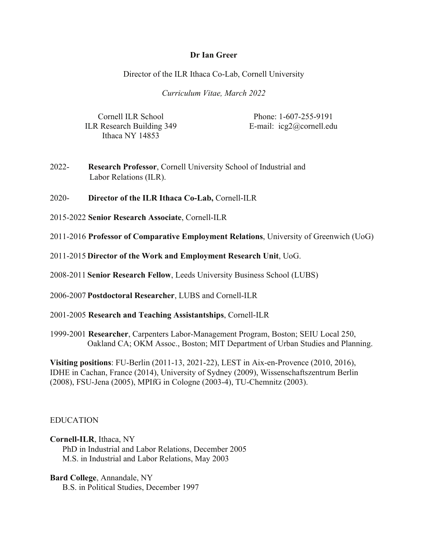#### **Dr Ian Greer**

Director of the ILR Ithaca Co-Lab, Cornell University

 *Curriculum Vitae, March 2022*

ILR Research Building 349 E-mail: [icg2@cornell.edu](mailto:icg2@cornell.edu) Ithaca NY 14853

Cornell ILR School Phone: 1-607-255-9191

 $2022 -$ 2022- **Research Professor**, Cornell University School of Industrial and Labor Relations (ILR).

 $2020 -$ 2020- **Director of the ILR Ithaca Co-Lab,** Cornell-ILR

2015-2022 **Senior Research Associate**, Cornell-ILR

2011-2016 **Professor of Comparative Employment Relations**, University of Greenwich (UoG)

2011-2015 **Director of the Work and Employment Research Unit**, UoG.

2008-2011 **Senior Research Fellow**, Leeds University Business School (LUBS)

2006-2007 **Postdoctoral Researcher**, LUBS and Cornell-ILR

2001-2005 **Research and Teaching Assistantships**, Cornell-ILR

1999-2001 **Researcher**, Carpenters Labor-Management Program, Boston; SEIU Local 250, Oakland CA; OKM Assoc., Boston; MIT Department of Urban Studies and Planning.

 **Visiting positions**: FU-Berlin (2011-13, 2021-22), LEST in Aix-en-Provence (2010, 2016), IDHE in Cachan, France (2014), University of Sydney (2009), Wissenschaftszentrum Berlin (2008), FSU-Jena (2005), MPIfG in Cologne (2003-4), TU-Chemnitz (2003).

## EDUCATION

**Cornell-ILR**, Ithaca, NY PhD in Industrial and Labor Relations, December 2005

M.S. in Industrial and Labor Relations, May 2003

**Bard College**, Annandale, NY

B.S. in Political Studies, December 1997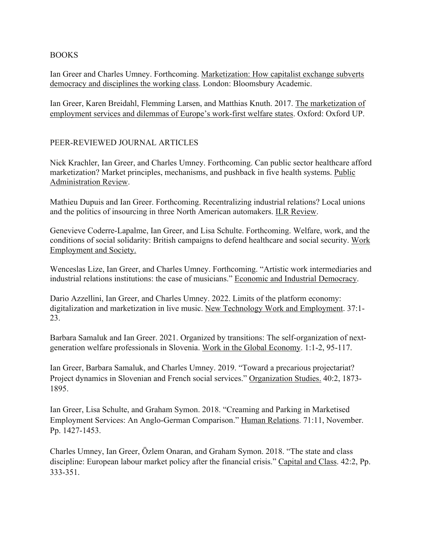### BOOKS

democracy and disciplines the working class. London: Bloomsbury Academic. Ian Greer and Charles Umney. Forthcoming. Marketization: How capitalist exchange subverts

Ian Greer, Karen Breidahl, Flemming Larsen, and Matthias Knuth. 2017. The marketization of employment services and dilemmas of Europe's work-first welfare states. Oxford: Oxford UP.

### PEER-REVIEWED JOURNAL ARTICLES

 Nick Krachler, Ian Greer, and Charles Umney. Forthcoming. Can public sector healthcare afford Administration Review. marketization? Market principles, mechanisms, and pushback in five health systems. Public

Mathieu Dupuis and Ian Greer. Forthcoming. Recentralizing industrial relations? Local unions and the politics of insourcing in three North American automakers. ILR Review.

Genevieve Coderre-Lapalme, Ian Greer, and Lisa Schulte. Forthcoming. Welfare, work, and the conditions of social solidarity: British campaigns to defend healthcare and social security. Work Employment and Society.

Wenceslas Lize, Ian Greer, and Charles Umney. Forthcoming. "Artistic work intermediaries and industrial relations institutions: the case of musicians." Economic and Industrial Democracy.

Dario Azzellini, Ian Greer, and Charles Umney. 2022. Limits of the platform economy: digitalization and marketization in live music. New Technology Work and Employment. 37:1- 23.

Barbara Samaluk and Ian Greer. 2021. Organized by transitions: The self-organization of nextgeneration welfare professionals in Slovenia. Work in the Global Economy. 1:1-2, 95-117.

Ian Greer, Barbara Samaluk, and Charles Umney. 2019. "Toward a precarious projectariat? Project dynamics in Slovenian and French social services." Organization Studies. 40:2, 1873- 1895.

Ian Greer, Lisa Schulte, and Graham Symon. 2018. "Creaming and Parking in Marketised Employment Services: An Anglo-German Comparison." Human Relations. 71:11, November. Pp. 1427-1453.

Charles Umney, Ian Greer, Özlem Onaran, and Graham Symon. 2018. "The state and class discipline: European labour market policy after the financial crisis." Capital and Class. 42:2, Pp. 333-351.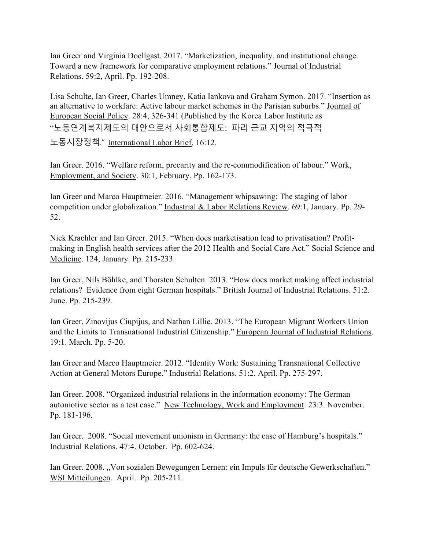Ian Greer and Virginia Doellgast. 2017. "Marketization, inequality, and institutional change. Toward a new framework for comparative employment relations." Journal of Industrial Relations. 59:2, April. Pp. 192-208.

 "노동연계복지제도의 대안으로서 사회통합제도: 파리 근교 지역의 적극적 Lisa Schulte, Ian Greer, Charles Umney, Katia Iankova and Graham Symon. 2017. "Insertion as an alternative to workfare: Active labour market schemes in the Parisian suburbs." Journal of European Social Policy. 28:4, 326-341 (Published by the Korea Labor Institute as

노동시장정책." International Labor Brief, 16:12.

Ian Greer. 2016. "Welfare reform, precarity and the re-commodification of labour." Work, Employment, and Society. 30:1, February. Pp. 162-173.

Ian Greer and Marco Hauptmeier. 2016. "Management whipsawing: The staging of labor competition under globalization." Industrial & Labor Relations Review. 69:1, January. Pp. 29- 52.

 Medicine. 124, January. Pp. 215-233. Nick Krachler and Ian Greer. 2015. "When does marketisation lead to privatisation? Profitmaking in English health services after the 2012 Health and Social Care Act." Social Science and

Ian Greer, Nils Böhlke, and Thorsten Schulten. 2013. "How does market making affect industrial relations? Evidence from eight German hospitals." British Journal of Industrial Relations. 51:2. June. Pp. 215-239.

 Ian Greer, Zinovijus Ciupijus, and Nathan Lillie. 2013. "The European Migrant Workers Union and the Limits to Transnational Industrial Citizenship." European Journal of Industrial Relations. 19:1. March. Pp. 5-20.

Ian Greer and Marco Hauptmeier. 2012. "Identity Work: Sustaining Transnational Collective Action at General Motors Europe." Industrial Relations. 51:2. April. Pp. 275-297.

automotive sector as a test case." New Technology, Work and Employment. 23:3. November. Ian Greer. 2008. "Organized industrial relations in the information economy: The German Pp. 181-196.

Ian Greer. 2008. "Social movement unionism in Germany: the case of Hamburg's hospitals." Industrial Relations. 47:4. October. Pp. 602-624.

Ian Greer. 2008. "Von sozialen Bewegungen Lernen: ein Impuls für deutsche Gewerkschaften." WSI Mitteilungen. April. Pp. 205-211.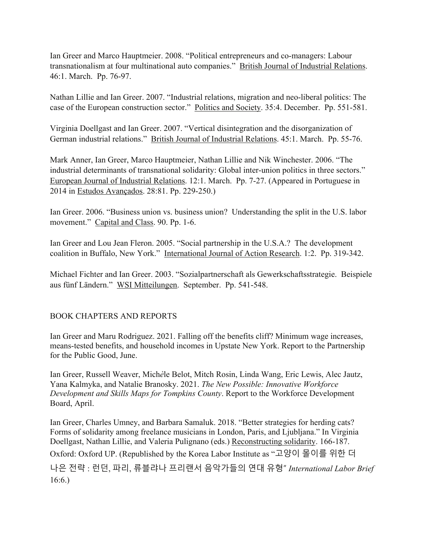Ian Greer and Marco Hauptmeier. 2008. "Political entrepreneurs and co-managers: Labour transnationalism at four multinational auto companies." British Journal of Industrial Relations. 46:1. March. Pp. 76-97.

Nathan Lillie and Ian Greer. 2007. "Industrial relations, migration and neo-liberal politics: The case of the European construction sector." Politics and Society. 35:4. December. Pp. 551-581.

Virginia Doellgast and Ian Greer. 2007. "Vertical disintegration and the disorganization of German industrial relations." British Journal of Industrial Relations. 45:1. March. Pp. 55-76.

Mark Anner, Ian Greer, Marco Hauptmeier, Nathan Lillie and Nik Winchester. 2006. "The industrial determinants of transnational solidarity: Global inter-union politics in three sectors." European Journal of Industrial Relations. 12:1. March. Pp. 7-27. (Appeared in Portuguese in 2014 in Estudos Avançados. 28:81. Pp. 229-250.)

Ian Greer. 2006. "Business union vs. business union? Understanding the split in the U.S. labor movement." Capital and Class. 90. Pp. 1-6.

Ian Greer and Lou Jean Fleron. 2005. "Social partnership in the U.S.A.? The development coalition in Buffalo, New York." International Journal of Action Research. 1:2. Pp. 319-342.

Michael Fichter and Ian Greer. 2003. "Sozialpartnerschaft als Gewerkschaftsstrategie. Beispiele aus fünf Ländern." WSI Mitteilungen. September. Pp. 541-548.

## BOOK CHAPTERS AND REPORTS

Ian Greer and Maru Rodriguez. 2021. Falling off the benefits cliff? Minimum wage increases, means-tested benefits, and household incomes in Upstate New York. Report to the Partnership for the Public Good, June.

Ian Greer, Russell Weaver, Mich*è*le Belot, Mitch Rosin, Linda Wang, Eric Lewis, Alec Jautz, Yana Kalmyka, and Natalie Branosky. 2021. *The New Possible: Innovative Workforce Development and Skills Maps for Tompkins County*. Report to the Workforce Development Board, April.

 Oxford: Oxford UP. (Republished by the Korea Labor Institute as "고양이 몰이를 위한 더 나은 전략 : 런던, 파리, 류블랴나 프리랜서 음악가들의 연대 유형" *International Labor Brief* Ian Greer, Charles Umney, and Barbara Samaluk. 2018. "Better strategies for herding cats? Forms of solidarity among freelance musicians in London, Paris, and Ljubljana." In Virginia Doellgast, Nathan Lillie, and Valeria Pulignano (eds.) Reconstructing solidarity. 166-187. 16:6.)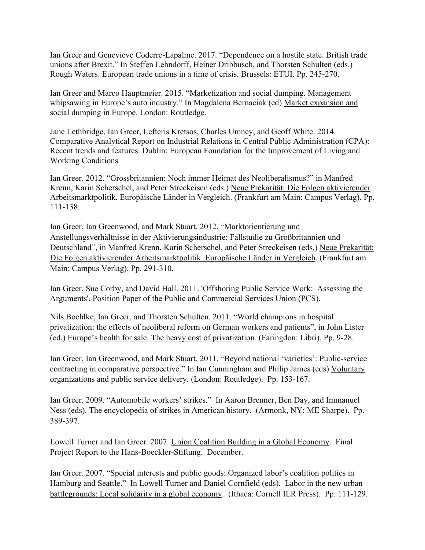Ian Greer and Genevieve Coderre-Lapalme. 2017. "Dependence on a hostile state. British trade unions after Brexit." In Steffen Lehndorff, Heiner Dribbusch, and Thorsten Schulten (eds.) Rough Waters. European trade unions in a time of crisis. Brussels: ETUI. Pp. 245-270.

Ian Greer and Marco Hauptmeier. 2015. "Marketization and social dumping. Management whipsawing in Europe's auto industry." In Magdalena Bernaciak (ed) Market expansion and social dumping in Europe. London: Routledge.

Jane Lethbridge, Ian Greer, Lefteris Kretsos, Charles Umney, and Geoff White. 2014. Comparative Analytical Report on Industrial Relations in Central Public Administration (CPA): Recent trends and features. Dublin: European Foundation for the Improvement of Living and Working Conditions

Ian Greer. 2012. "Grossbritannien: Noch immer Heimat des Neoliberalismus?" in Manfred Krenn, Karin Scherschel, and Peter Streckeisen (eds.) Neue Prekarität: Die Folgen aktivierender Arbeitsmarktpolitik. Europäische Länder in Vergleich. (Frankfurt am Main: Campus Verlag). Pp. 111-138.

Ian Greer, Ian Greenwood, and Mark Stuart. 2012. "Marktorientierung und Anstellungsverhältnisse in der Aktivierungsindustrie: Fallstudie zu Großbritannien und Deutschland", in Manfred Krenn, Karin Scherschel, and Peter Streckeisen (eds.) Neue Prekarität: Die Folgen aktivierender Arbeitsmarktpolitik. Europäische Länder in Vergleich. (Frankfurt am Main: Campus Verlag). Pp. 291-310.

Ian Greer, Sue Corby, and David Hall. 2011. 'Offshoring Public Service Work: Assessing the Arguments'. Position Paper of the Public and Commercial Services Union (PCS).

Nils Boehlke, Ian Greer, and Thorsten Schulten. 2011. "World champions in hospital privatization: the effects of neoliberal reform on German workers and patients", in John Lister (ed.) Europe's health for sale. The heavy cost of privatization*.* (Faringdon: Libri). Pp. 9-28.

Ian Greer, Ian Greenwood, and Mark Stuart. 2011. "Beyond national 'varieties': Public-service contracting in comparative perspective." In Ian Cunningham and Philip James (eds) Voluntary organizations and public service delivery*.* (London: Routledge). Pp. 153-167.

Ian Greer. 2009. "Automobile workers' strikes." In Aaron Brenner, Ben Day, and Immanuel Ness (eds). The encyclopedia of strikes in American history. (Armonk, NY: ME Sharpe). Pp. 389-397.

Lowell Turner and Ian Greer. 2007. Union Coalition Building in a Global Economy. Final Project Report to the Hans-Boeckler-Stiftung. December.

Ian Greer. 2007. "Special interests and public goods: Organized labor's coalition politics in Hamburg and Seattle." In Lowell Turner and Daniel Cornfield (eds). Labor in the new urban battlegrounds: Local solidarity in a global economy. (Ithaca: Cornell ILR Press). Pp. 111-129.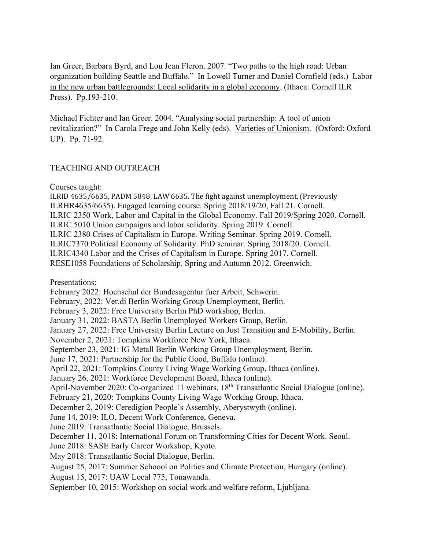Ian Greer, Barbara Byrd, and Lou Jean Fleron. 2007. "Two paths to the high road: Urban organization building Seattle and Buffalo." In Lowell Turner and Daniel Cornfield (eds.) Labor in the new urban battlegrounds: Local solidarity in a global economy. (Ithaca: Cornell ILR Press). Pp.193-210.

Michael Fichter and Ian Greer. 2004. "Analysing social partnership: A tool of union revitalization?" In Carola Frege and John Kelly (eds). Varieties of Unionism. (Oxford: Oxford UP). Pp. 71-92.

### TEACHING AND OUTREACH

Courses taught:

 $\,$ ILRID 4635/6635, PADM 5848, LAW 6635. The fight against unemployment. (Previously ILRHR4635/6635). Engaged learning course. Spring 2018/19/20, Fall 21. Cornell. ILRIC 2350 Work, Labor and Capital in the Global Economy. Fall 2019/Spring 2020. Cornell. ILRIC 5010 Union campaigns and labor solidarity. Spring 2019. Cornell. ILRIC 2380 Crises of Capitalism in Europe. Writing Seminar. Spring 2019. Cornell. ILRIC7370 Political Economy of Solidarity. PhD seminar. Spring 2018/20. Cornell. ILRIC4340 Labor and the Crises of Capitalism in Europe. Spring 2017. Cornell. RESE1058 Foundations of Scholarship. Spring and Autumn 2012. Greenwich.

Presentations:

 February 2022: Hochschul der Bundesagentur fuer Arbeit, Schwerin. February, 2022: Ver.di Berlin Working Group Unemployment, Berlin. February 3, 2022: Free University Berlin PhD workshop, Berlin. January 31, 2022: BASTA Berlin Unemployed Workers Group, Berlin. January 27, 2022: Free University Berlin Lecture on Just Transition and E-Mobility, Berlin. November 2, 2021: Tompkins Workforce New York, Ithaca.

September 23, 2021: IG Metall Berlin Working Group Unemployment, Berlin.

June 17, 2021: Partnership for the Public Good, Buffalo (online).

April 22, 2021: Tompkins County Living Wage Working Group, Ithaca (online).

January 26, 2021: Workforce Development Board, Ithaca (online).

April-November 2020: Co-organized 11 webinars, 18<sup>th</sup> Transatlantic Social Dialogue (online).

February 21, 2020: Tompkins County Living Wage Working Group, Ithaca.

December 2, 2019: Ceredigion People's Assembly, Aberystwyth (online).

June 14, 2019: ILO, Decent Work Conference, Geneva.

June 2019: Transatlantic Social Dialogue, Brussels.

December 11, 2018: International Forum on Transforming Cities for Decent Work. Seoul.

June 2018: SASE Early Career Workshop, Kyoto.

May 2018: Transatlantic Social Dialogue, Berlin.

August 25, 2017: Summer Schoool on Politics and Climate Protection, Hungary (online).

August 15, 2017: UAW Local 775, Tonawanda.

September 10, 2015: Workshop on social work and welfare reform, Ljubljana.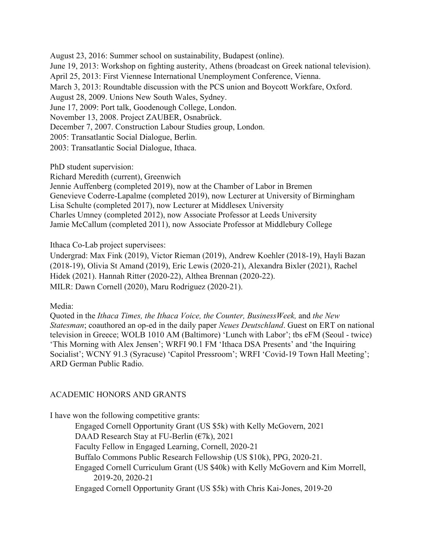April 25, 2013: First Viennese International Unemployment Conference, Vienna. November 13, 2008. Project ZAUBER, Osnabrück. 2005: Transatlantic Social Dialogue, Berlin. August 23, 2016: Summer school on sustainability, Budapest (online). June 19, 2013: Workshop on fighting austerity, Athens (broadcast on Greek national television). March 3, 2013: Roundtable discussion with the PCS union and Boycott Workfare, Oxford. August 28, 2009. Unions New South Wales, Sydney. June 17, 2009: Port talk, Goodenough College, London. December 7, 2007. Construction Labour Studies group, London. 2003: Transatlantic Social Dialogue, Ithaca.

PhD student supervision:

Richard Meredith (current), Greenwich

Jennie Auffenberg (completed 2019), now at the Chamber of Labor in Bremen Genevieve Coderre-Lapalme (completed 2019), now Lecturer at University of Birmingham Lisa Schulte (completed 2017), now Lecturer at Middlesex University Charles Umney (completed 2012), now Associate Professor at Leeds University Jamie McCallum (completed 2011), now Associate Professor at Middlebury College

Ithaca Co-Lab project supervisees:

Undergrad: Max Fink (2019), Victor Rieman (2019), Andrew Koehler (2018-19), Hayli Bazan (2018-19), Olivia St Amand (2019), Eric Lewis (2020-21), Alexandra Bixler (2021), Rachel Hidek (2021). Hannah Ritter (2020-22), Althea Brennan (2020-22). MILR: Dawn Cornell (2020), Maru Rodriguez (2020-21).

Media:

Quoted in the *Ithaca Times, the Ithaca Voice, the Counter, BusinessWeek,* and *the New Statesman*; coauthored an op-ed in the daily paper *Neues Deutschland*. Guest on ERT on national television in Greece; WOLB 1010 AM (Baltimore) 'Lunch with Labor'; tbs eFM (Seoul - twice) 'This Morning with Alex Jensen'; WRFI 90.1 FM 'Ithaca DSA Presents' and 'the Inquiring Socialist'; WCNY 91.3 (Syracuse) 'Capitol Pressroom'; WRFI 'Covid-19 Town Hall Meeting'; ARD German Public Radio.

## ACADEMIC HONORS AND GRANTS

I have won the following competitive grants:

 DAAD Research Stay at FU-Berlin (€7k), 2021 Engaged Cornell Opportunity Grant (US \$5k) with Kelly McGovern, 2021 Faculty Fellow in Engaged Learning, Cornell, 2020-21 Buffalo Commons Public Research Fellowship (US \$10k), PPG, 2020-21. Engaged Cornell Curriculum Grant (US \$40k) with Kelly McGovern and Kim Morrell, 2019-20, 2020-21 Engaged Cornell Opportunity Grant (US \$5k) with Chris Kai-Jones, 2019-20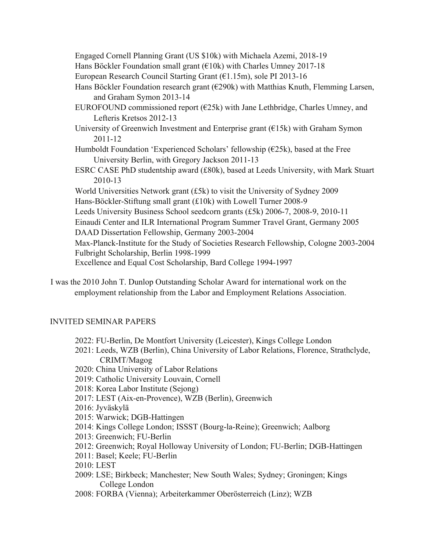Engaged Cornell Planning Grant (US \$10k) with Michaela Azemi, 2018-19

Hans Böckler Foundation small grant ( $\epsilon$ 10k) with Charles Umney 2017-18

European Research Council Starting Grant (€1.15m), sole PI 2013-16

- Hans Böckler Foundation research grant ( $\epsilon$ 290k) with Matthias Knuth, Flemming Larsen, and Graham Symon 2013-14
- EUROFOUND commissioned report  $(625k)$  with Jane Lethbridge, Charles Umney, and Lefteris Kretsos 2012-13
- University of Greenwich Investment and Enterprise grant  $(E15k)$  with Graham Symon 2011-12
- Humboldt Foundation 'Experienced Scholars' fellowship  $(E25k)$ , based at the Free University Berlin, with Gregory Jackson 2011-13
- ESRC CASE PhD studentship award (£80k), based at Leeds University, with Mark Stuart 2010-13

World Universities Network grant (£5k) to visit the University of Sydney 2009 Hans-Böckler-Stiftung small grant (£10k) with Lowell Turner 2008-9

Leeds University Business School seedcorn grants (£5k) 2006-7, 2008-9, 2010-11

Einaudi Center and ILR International Program Summer Travel Grant, Germany 2005 DAAD Dissertation Fellowship, Germany 2003-2004

Max-Planck-Institute for the Study of Societies Research Fellowship, Cologne 2003-2004 Fulbright Scholarship, Berlin 1998-1999

Excellence and Equal Cost Scholarship, Bard College 1994-1997

I was the 2010 John T. Dunlop Outstanding Scholar Award for international work on the employment relationship from the Labor and Employment Relations Association.

# INVITED SEMINAR PAPERS

- 2022: FU-Berlin, De Montfort University (Leicester), Kings College London
- 2021: Leeds, WZB (Berlin), China University of Labor Relations, Florence, Strathclyde, CRIMT/Magog
- 2020: China University of Labor Relations
- 2019: Catholic University Louvain, Cornell
- 2018: Korea Labor Institute (Sejong)
- 2017: LEST (Aix-en-Provence), WZB (Berlin), Greenwich
- 2016: Jyväskylä
- 2015: Warwick; DGB-Hattingen
- 2014: Kings College London; ISSST (Bourg-la-Reine); Greenwich; Aalborg
- 2013: Greenwich; FU-Berlin
- 2012: Greenwich; Royal Holloway University of London; FU-Berlin; DGB-Hattingen
- 2011: Basel; Keele; FU-Berlin
- 2010: LEST
- 2009: LSE; Birkbeck; Manchester; New South Wales; Sydney; Groningen; Kings College London
- 2008: FORBA (Vienna); Arbeiterkammer Oberösterreich (Linz); WZB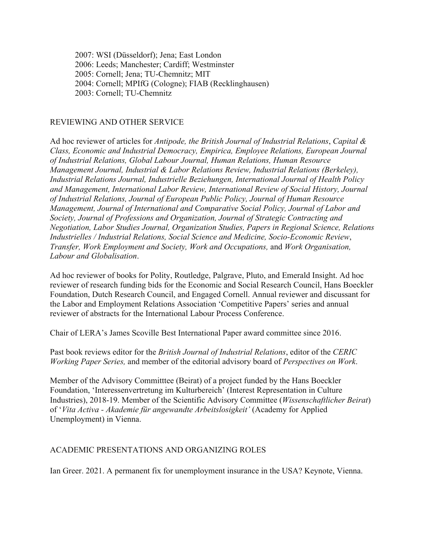2007: WSI (Düsseldorf); Jena; East London 2006: Leeds; Manchester; Cardiff; Westminster 2005: Cornell; Jena; TU-Chemnitz; MIT 2004: Cornell; MPIfG (Cologne); FIAB (Recklinghausen) 2003: Cornell; TU-Chemnitz

#### REVIEWING AND OTHER SERVICE

 *Transfer, Work Employment and Society, Work and Occupations,* and *Work Organisation,*  Ad hoc reviewer of articles for *Antipode, the British Journal of Industrial Relations*, *Capital & Class, Economic and Industrial Democracy, Empirica, Employee Relations, European Journal of Industrial Relations, Global Labour Journal, Human Relations, Human Resource Management Journal, Industrial & Labor Relations Review, Industrial Relations (Berkeley), Industrial Relations Journal, Industrielle Beziehungen, International Journal of Health Policy and Management, International Labor Review, International Review of Social History, Journal of Industrial Relations, Journal of European Public Policy, Journal of Human Resource Management, Journal of International and Comparative Social Policy, Journal of Labor and Society, Journal of Professions and Organization, Journal of Strategic Contracting and Negotiation, Labor Studies Journal, Organization Studies, Papers in Regional Science, Relations Industrielles / Industrial Relations, Social Science and Medicine, Socio-Economic Review*, *Labour and Globalisation*.

 Ad hoc reviewer of books for Polity, Routledge, Palgrave, Pluto, and Emerald Insight. Ad hoc reviewer of research funding bids for the Economic and Social Research Council, Hans Boeckler Foundation, Dutch Research Council, and Engaged Cornell. Annual reviewer and discussant for the Labor and Employment Relations Association 'Competitive Papers' series and annual reviewer of abstracts for the International Labour Process Conference.

Chair of LERA's James Scoville Best International Paper award committee since 2016.

Past book reviews editor for the *British Journal of Industrial Relations*, editor of the *CERIC Working Paper Series,* and member of the editorial advisory board of *Perspectives on Work*.

Member of the Advisory Committtee (Beirat) of a project funded by the Hans Boeckler Foundation, 'Interessenvertretung im Kulturbereich' (Interest Representation in Culture Industries), 2018-19. Member of the Scientific Advisory Committee (*Wissenschaftlicher Beirat*) of '*Vita Activa - Akademie für angewandte Arbeitslosigkeit'* (Academy for Applied Unemployment) in Vienna.

#### ACADEMIC PRESENTATIONS AND ORGANIZING ROLES

Ian Greer. 2021. A permanent fix for unemployment insurance in the USA? Keynote, Vienna.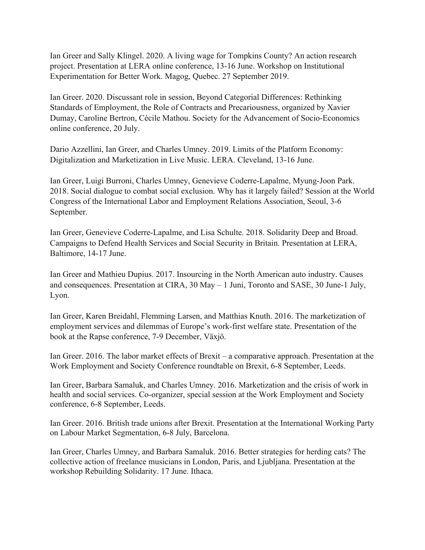Ian Greer and Sally Klingel. 2020. A living wage for Tompkins County? An action research project. Presentation at LERA online conference, 13-16 June. Workshop on Institutional Experimentation for Better Work. Magog, Quebec. 27 September 2019.

Ian Greer. 2020. Discussant role in session, Beyond Categorial Differences: Rethinking Standards of Employment, the Role of Contracts and Precariousness, organized by Xavier Dumay, Caroline Bertron, Cécile Mathou. Society for the Advancement of Socio-Economics online conference, 20 July.

Dario Azzellini, Ian Greer, and Charles Umney. 2019. Limits of the Platform Economy: Digitalization and Marketization in Live Music. LERA. Cleveland, 13-16 June.

Ian Greer, Luigi Burroni, Charles Umney, Genevieve Coderre-Lapalme, Myung-Joon Park. 2018. Social dialogue to combat social exclusion. Why has it largely failed? Session at the World Congress of the International Labor and Employment Relations Association, Seoul, 3-6 September.

Ian Greer, Genevieve Coderre-Lapalme, and Lisa Schulte. 2018. Solidarity Deep and Broad. Campaigns to Defend Health Services and Social Security in Britain. Presentation at LERA, Baltimore, 14-17 June.

Ian Greer and Mathieu Dupius. 2017. Insourcing in the North American auto industry. Causes and consequences. Presentation at CIRA, 30 May – 1 Juni, Toronto and SASE, 30 June-1 July, Lyon.

 Ian Greer, Karen Breidahl, Flemming Larsen, and Matthias Knuth. 2016. The marketization of employment services and dilemmas of Europe's work-first welfare state. Presentation of the book at the Rapse conference, 7-9 December, Växjö.

Ian Greer. 2016. The labor market effects of Brexit – a comparative approach. Presentation at the Work Employment and Society Conference roundtable on Brexit, 6-8 September, Leeds.

 conference, 6-8 September, Leeds. Ian Greer, Barbara Samaluk, and Charles Umney. 2016. Marketization and the crisis of work in health and social services. Co-organizer, special session at the Work Employment and Society

 Ian Greer. 2016. British trade unions after Brexit. Presentation at the International Working Party on Labour Market Segmentation, 6-8 July, Barcelona.

Ian Greer, Charles Umney, and Barbara Samaluk. 2016. Better strategies for herding cats? The collective action of freelance musicians in London, Paris, and Ljubljana. Presentation at the workshop Rebuilding Solidarity. 17 June. Ithaca.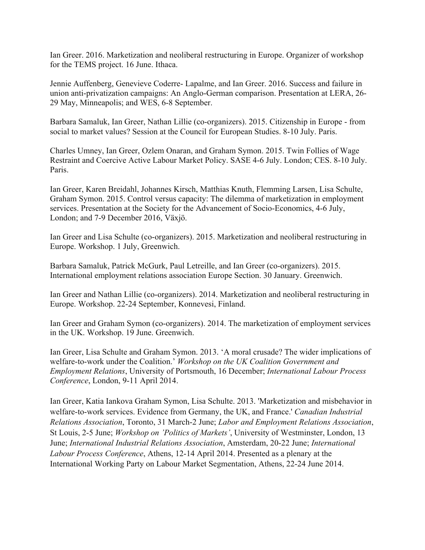Ian Greer. 2016. Marketization and neoliberal restructuring in Europe. Organizer of workshop for the TEMS project. 16 June. Ithaca.

Jennie Auffenberg, Genevieve Coderre- Lapalme, and Ian Greer. 2016. Success and failure in union anti-privatization campaigns: An Anglo-German comparison. Presentation at LERA, 26- 29 May, Minneapolis; and WES, 6-8 September.

Barbara Samaluk, Ian Greer, Nathan Lillie (co-organizers). 2015. Citizenship in Europe - from social to market values? Session at the Council for European Studies. 8-10 July. Paris.

Charles Umney, Ian Greer, Ozlem Onaran, and Graham Symon. 2015. Twin Follies of Wage Restraint and Coercive Active Labour Market Policy. SASE 4-6 July. London; CES. 8-10 July. Paris.

Ian Greer, Karen Breidahl, Johannes Kirsch, Matthias Knuth, Flemming Larsen, Lisa Schulte, Graham Symon. 2015. Control versus capacity: The dilemma of marketization in employment services. Presentation at the Society for the Advancement of Socio-Economics, 4-6 July, London; and 7-9 December 2016, Växjö.

Ian Greer and Lisa Schulte (co-organizers). 2015. Marketization and neoliberal restructuring in Europe. Workshop. 1 July, Greenwich.

Barbara Samaluk, Patrick McGurk, Paul Letreille, and Ian Greer (co-organizers). 2015. International employment relations association Europe Section. 30 January. Greenwich.

Ian Greer and Nathan Lillie (co-organizers). 2014. Marketization and neoliberal restructuring in Europe. Workshop. 22-24 September, Konnevesi, Finland.

Ian Greer and Graham Symon (co-organizers). 2014. The marketization of employment services in the UK. Workshop. 19 June. Greenwich.

Ian Greer, Lisa Schulte and Graham Symon. 2013. 'A moral crusade? The wider implications of welfare-to-work under the Coalition.' *Workshop on the UK Coalition Government and Employment Relations*, University of Portsmouth, 16 December; *International Labour Process Conference*, London, 9-11 April 2014.

Ian Greer, Katia Iankova Graham Symon, Lisa Schulte. 2013. 'Marketization and misbehavior in welfare-to-work services. Evidence from Germany, the UK, and France.' *Canadian Industrial Relations Association*, Toronto, 31 March-2 June; *Labor and Employment Relations Association*, St Louis, 2-5 June; *Workshop on 'Politics of Markets'*, University of Westminster, London, 13 June; *International Industrial Relations Association*, Amsterdam, 20-22 June; *International Labour Process Conference*, Athens, 12-14 April 2014. Presented as a plenary at the International Working Party on Labour Market Segmentation, Athens, 22-24 June 2014.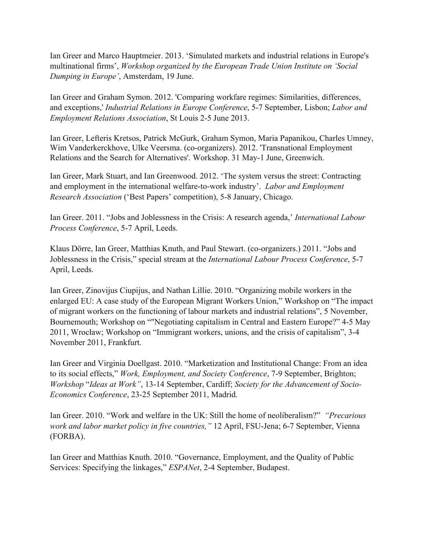Ian Greer and Marco Hauptmeier. 2013. 'Simulated markets and industrial relations in Europe's multinational firms', *Workshop organized by the European Trade Union Institute on 'Social Dumping in Europe'*, Amsterdam, 19 June.

Ian Greer and Graham Symon. 2012. 'Comparing workfare regimes: Similarities, differences, and exceptions,' *Industrial Relations in Europe Conference*, 5-7 September, Lisbon; *Labor and Employment Relations Association*, St Louis 2-5 June 2013.

Ian Greer, Lefteris Kretsos, Patrick McGurk, Graham Symon, Maria Papanikou, Charles Umney, Wim Vanderkerckhove, Ulke Veersma. (co-organizers). 2012. 'Transnational Employment Relations and the Search for Alternatives'. Workshop. 31 May-1 June, Greenwich.

Ian Greer, Mark Stuart, and Ian Greenwood. 2012. 'The system versus the street: Contracting and employment in the international welfare-to-work industry'. *Labor and Employment Research Association* ('Best Papers' competition), 5-8 January, Chicago.

Ian Greer. 2011. "Jobs and Joblessness in the Crisis: A research agenda,' *International Labour Process Conference*, 5-7 April, Leeds.

Klaus Dörre, Ian Greer, Matthias Knuth, and Paul Stewart. (co-organizers.) 2011. "Jobs and Joblessness in the Crisis," special stream at the *International Labour Process Conference*, 5-7 April, Leeds.

Ian Greer, Zinovijus Ciupijus, and Nathan Lillie. 2010. "Organizing mobile workers in the enlarged EU: A case study of the European Migrant Workers Union," Workshop on "The impact of migrant workers on the functioning of labour markets and industrial relations", 5 November, Bournemouth; Workshop on ""Negotiating capitalism in Central and Eastern Europe?" 4-5 May 2011, Wrocław; Workshop on "Immigrant workers, unions, and the crisis of capitalism", 3-4 November 2011, Frankfurt.

Ian Greer and Virginia Doellgast. 2010. "Marketization and Institutional Change: From an idea to its social effects," *Work, Employment, and Society Conference*, 7-9 September, Brighton; *Workshop* "*Ideas at Work"*, 13-14 September, Cardiff; *Society for the Advancement of Socio-Economics Conference*, 23-25 September 2011, Madrid.

Ian Greer. 2010. "Work and welfare in the UK: Still the home of neoliberalism?" *"Precarious work and labor market policy in five countries,"* 12 April, FSU-Jena; 6-7 September, Vienna (FORBA).

Ian Greer and Matthias Knuth. 2010. "Governance, Employment, and the Quality of Public Services: Specifying the linkages," *ESPANet*, 2-4 September, Budapest.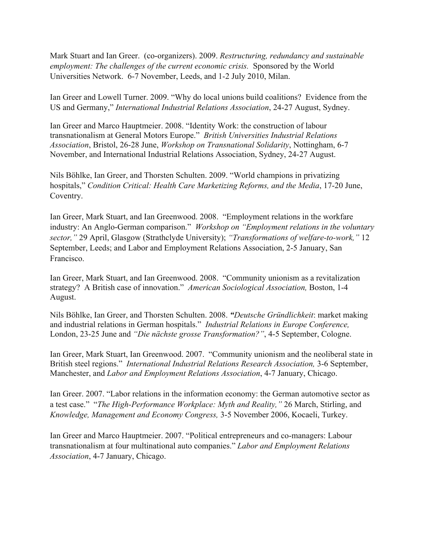*employment: The challenges of the current economic crisis.* Sponsored by the World Mark Stuart and Ian Greer. (co-organizers). 2009. *Restructuring, redundancy and sustainable*  Universities Network. 6-7 November, Leeds, and 1-2 July 2010, Milan.

Ian Greer and Lowell Turner. 2009. "Why do local unions build coalitions? Evidence from the US and Germany," *International Industrial Relations Association*, 24-27 August, Sydney.

Ian Greer and Marco Hauptmeier. 2008. "Identity Work: the construction of labour transnationalism at General Motors Europe." *British Universities Industrial Relations Association*, Bristol, 26-28 June, *Workshop on Transnational Solidarity*, Nottingham, 6-7 November, and International Industrial Relations Association, Sydney, 24-27 August.

Nils Böhlke, Ian Greer, and Thorsten Schulten. 2009. "World champions in privatizing hospitals," *Condition Critical: Health Care Marketizing Reforms, and the Media*, 17-20 June, Coventry.

Ian Greer, Mark Stuart, and Ian Greenwood. 2008. "Employment relations in the workfare industry: An Anglo-German comparison." *Workshop on "Employment relations in the voluntary sector,"* 29 April, Glasgow (Strathclyde University); *"Transformations of welfare-to-work,"* 12 September, Leeds; and Labor and Employment Relations Association, 2-5 January, San Francisco.

Ian Greer, Mark Stuart, and Ian Greenwood. 2008. "Community unionism as a revitalization strategy? A British case of innovation." *American Sociological Association,* Boston, 1-4 August.

Nils Böhlke, Ian Greer, and Thorsten Schulten. 2008. *"Deutsche Gründlichkeit*: market making and industrial relations in German hospitals." *Industrial Relations in Europe Conference,* London, 23-25 June and *"Die nächste grosse Transformation?"*, 4-5 September, Cologne.

Ian Greer, Mark Stuart, Ian Greenwood. 2007. "Community unionism and the neoliberal state in British steel regions." *International Industrial Relations Research Association,* 3-6 September, Manchester, and *Labor and Employment Relations Association*, 4-7 January, Chicago.

Ian Greer. 2007. "Labor relations in the information economy: the German automotive sector as a test case." "*The High-Performance Workplace: Myth and Reality,"* 26 March, Stirling, and *Knowledge, Management and Economy Congress,* 3-5 November 2006, Kocaeli, Turkey.

Ian Greer and Marco Hauptmeier. 2007. "Political entrepreneurs and co-managers: Labour transnationalism at four multinational auto companies." *Labor and Employment Relations Association*, 4-7 January, Chicago.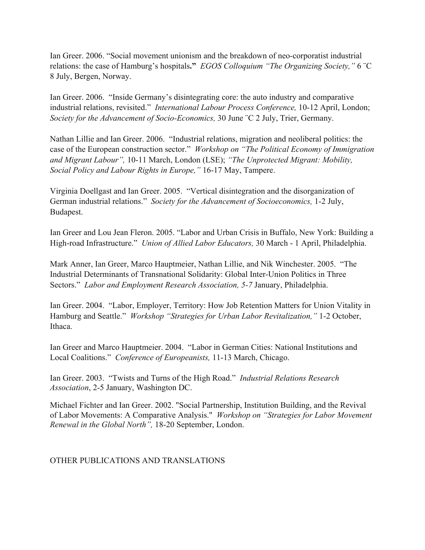Ian Greer. 2006. "Social movement unionism and the breakdown of neo-corporatist industrial relations: the case of Hamburg's hospitals**."** *EGOS Colloquium "The Organizing Society,"* 6 ¨C 8 July, Bergen, Norway.

Ian Greer. 2006. "Inside Germany's disintegrating core: the auto industry and comparative industrial relations, revisited." *International Labour Process Conference,* 10-12 April, London; *Society for the Advancement of Socio-Economics,* 30 June ¨C 2 July, Trier, Germany.

Nathan Lillie and Ian Greer. 2006. "Industrial relations, migration and neoliberal politics: the case of the European construction sector." *Workshop on "The Political Economy of Immigration and Migrant Labour",* 10-11 March, London (LSE); *"The Unprotected Migrant: Mobility, Social Policy and Labour Rights in Europe,"* 16-17 May, Tampere.

Virginia Doellgast and Ian Greer. 2005. "Vertical disintegration and the disorganization of German industrial relations." *Society for the Advancement of Socioeconomics,* 1-2 July, Budapest.

 High-road Infrastructure." *Union of Allied Labor Educators,* 30 March - 1 April, Philadelphia. Ian Greer and Lou Jean Fleron. 2005. "Labor and Urban Crisis in Buffalo, New York: Building a

Mark Anner, Ian Greer, Marco Hauptmeier, Nathan Lillie, and Nik Winchester. 2005. "The Industrial Determinants of Transnational Solidarity: Global Inter-Union Politics in Three Sectors." *Labor and Employment Research Association, 5-7* January, Philadelphia.

Ian Greer. 2004. "Labor, Employer, Territory: How Job Retention Matters for Union Vitality in Hamburg and Seattle." *Workshop "Strategies for Urban Labor Revitalization,"* 1-2 October, Ithaca.

 Ian Greer and Marco Hauptmeier. 2004. "Labor in German Cities: National Institutions and Local Coalitions." *Conference of Europeanists,* 11-13 March, Chicago.

Ian Greer. 2003. "Twists and Turns of the High Road." *Industrial Relations Research Association*, 2-5 January, Washington DC.

Michael Fichter and Ian Greer. 2002. "Social Partnership, Institution Building, and the Revival of Labor Movements: A Comparative Analysis." *Workshop on "Strategies for Labor Movement Renewal in the Global North",* 18-20 September, London.

## OTHER PUBLICATIONS AND TRANSLATIONS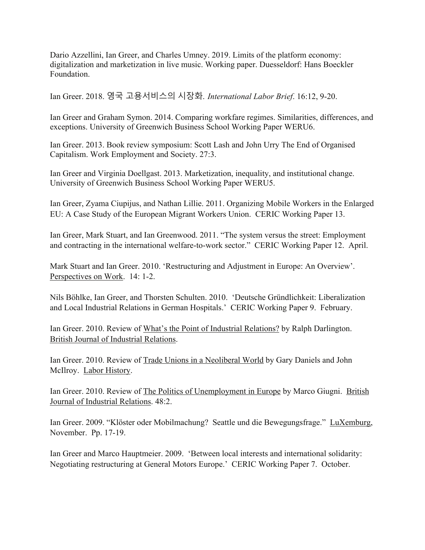Dario Azzellini, Ian Greer, and Charles Umney. 2019. Limits of the platform economy: digitalization and marketization in live music. Working paper. Duesseldorf: Hans Boeckler Foundation.

Ian Greer. 2018. 영국 고용서비스의 시장화. *International Labor Brief*. 16:12, 9-20.

Ian Greer and Graham Symon. 2014. Comparing workfare regimes. Similarities, differences, and exceptions. University of Greenwich Business School Working Paper WERU6.

Ian Greer. 2013. Book review symposium: Scott Lash and John Urry The End of Organised Capitalism. Work Employment and Society. 27:3.

Ian Greer and Virginia Doellgast. 2013. Marketization, inequality, and institutional change. University of Greenwich Business School Working Paper WERU5.

Ian Greer, Zyama Ciupijus, and Nathan Lillie. 2011. Organizing Mobile Workers in the Enlarged EU: A Case Study of the European Migrant Workers Union. CERIC Working Paper 13.

Ian Greer, Mark Stuart, and Ian Greenwood. 2011. "The system versus the street: Employment and contracting in the international welfare-to-work sector." CERIC Working Paper 12. April.

Mark Stuart and Ian Greer. 2010. 'Restructuring and Adjustment in Europe: An Overview'. Perspectives on Work. 14: 1-2.

Nils Böhlke, Ian Greer, and Thorsten Schulten. 2010. 'Deutsche Gründlichkeit: Liberalization and Local Industrial Relations in German Hospitals.' CERIC Working Paper 9. February.

Ian Greer. 2010. Review of What's the Point of Industrial Relations? by Ralph Darlington. British Journal of Industrial Relations.

Ian Greer. 2010. Review of Trade Unions in a Neoliberal World by Gary Daniels and John McIlroy. Labor History.

Ian Greer. 2010. Review of The Politics of Unemployment in Europe by Marco Giugni. British Journal of Industrial Relations. 48:2.

Ian Greer. 2009. "Klöster oder Mobilmachung? Seattle und die Bewegungsfrage." LuXemburg, November. Pp. 17-19.

Ian Greer and Marco Hauptmeier. 2009. 'Between local interests and international solidarity: Negotiating restructuring at General Motors Europe.' CERIC Working Paper 7. October.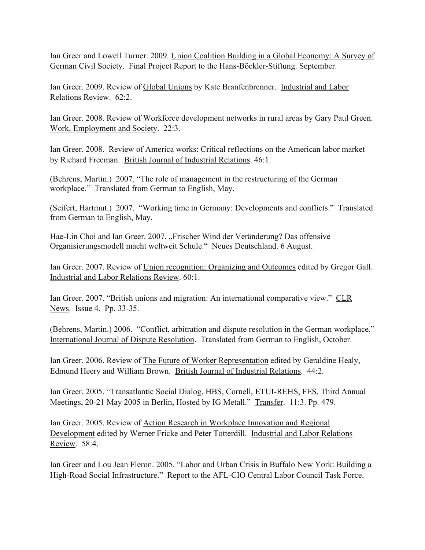Ian Greer and Lowell Turner. 2009. Union Coalition Building in a Global Economy: A Survey of German Civil Society. Final Project Report to the Hans-Böckler-Stiftung. September.

Ian Greer. 2009. Review of Global Unions by Kate Branfenbrenner. Industrial and Labor Relations Review. 62:2.

Ian Greer. 2008. Review of Workforce development networks in rural areas by Gary Paul Green. Work, Employment and Society. 22:3.

Ian Greer. 2008. Review of America works: Critical reflections on the American labor market by Richard Freeman. British Journal of Industrial Relations. 46:1.

(Behrens, Martin.) 2007. "The role of management in the restructuring of the German workplace." Translated from German to English, May.

(Seifert, Hartmut.) 2007. "Working time in Germany: Developments and conflicts." Translated from German to English, May.

Hae-Lin Choi and Ian Greer. 2007. "Frischer Wind der Veränderung? Das offensive Organisierungsmodell macht weltweit Schule." Neues Deutschland. 6 August.

Ian Greer. 2007. Review of Union recognition: Organizing and Outcomes edited by Gregor Gall. Industrial and Labor Relations Review. 60:1.

Ian Greer. 2007. "British unions and migration: An international comparative view." CLR News. Issue 4. Pp. 33-35.

(Behrens, Martin.) 2006. "Conflict, arbitration and dispute resolution in the German workplace." International Journal of Dispute Resolution. Translated from German to English, October.

Ian Greer. 2006. Review of The Future of Worker Representation edited by Geraldine Healy, Edmund Heery and William Brown. British Journal of Industrial Relations. 44:2.

Ian Greer. 2005. "Transatlantic Social Dialog, HBS, Cornell, ETUI-REHS, FES, Third Annual Meetings, 20-21 May 2005 in Berlin, Hosted by IG Metall." Transfer. 11:3. Pp. 479.

Ian Greer. 2005. Review of Action Research in Workplace Innovation and Regional Development edited by Werner Fricke and Peter Totterdill. Industrial and Labor Relations Review. 58:4.

Ian Greer and Lou Jean Fleron. 2005. "Labor and Urban Crisis in Buffalo New York: Building a High-Road Social Infrastructure." Report to the AFL-CIO Central Labor Council Task Force.